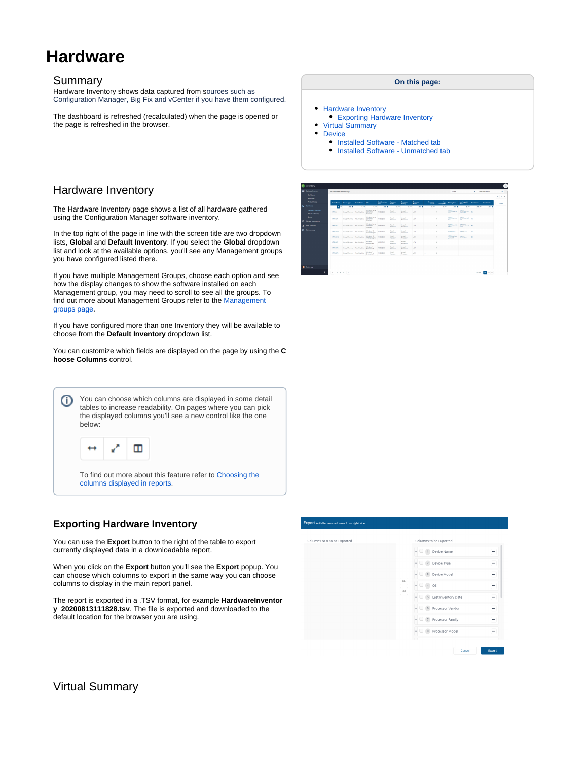# **Hardware**

#### Summary

Hardware Inventory shows data captured from sources such as Configuration Manager, Big Fix and vCenter if you have them configured.

The dashboard is refreshed (recalculated) when the page is opened or the page is refreshed in the browser.

# <span id="page-0-0"></span>Hardware Inventory

The Hardware Inventory page shows a list of all hardware gathered using the Configuration Manager software inventory.

In the top right of the page in line with the screen title are two dropdown lists, **Global** and **Default Inventory**. If you select the **Global** dropdown list and look at the available options, you'll see any Management groups you have configured listed there.

If you have multiple Management Groups, choose each option and see how the display changes to show the software installed on each Management group, you may need to scroll to see all the groups. To find out more about Management Groups refer to the [Management](https://help.1e.com/display/TCN51/Management+groups+page)  [groups page](https://help.1e.com/display/TCN51/Management+groups+page).

If you have configured more than one Inventory they will be available to choose from the **Default Inventory** dropdown list.

You can customize which fields are displayed on the page by using the **C hoose Columns** control.



# <span id="page-0-1"></span>**Exporting Hardware Inventory**

You can use the **Export** button to the right of the table to export currently displayed data in a downloadable report.

When you click on the **Export** button you'll see the **Export** popup. You can choose which columns to export in the same way you can choose columns to display in the main report panel.

The report is exported in a .TSV format, for example **HardwareInventor y\_20200813111828.tsv**. The file is exported and downloaded to the default location for the browser you are using.

#### **On this page:**

- [Hardware Inventory](#page-0-0)
- [Exporting Hardware Inventory](#page-0-1)
- [Virtual Summary](#page-0-2)
- [Device](#page-1-0)
	- [Installed Software Matched tab](#page-1-1)
	- **[Installed Software Unmatched tab](#page-2-0)**

| <b>Infrase Incenture</b>                            | <b>Hardware Inventory</b> |                    |                                       |                                                       |                              |                                     |                                   |                          |                            |                          | Gold                                       |                                                 |              | w Establishment | ×             |
|-----------------------------------------------------|---------------------------|--------------------|---------------------------------------|-------------------------------------------------------|------------------------------|-------------------------------------|-----------------------------------|--------------------------|----------------------------|--------------------------|--------------------------------------------|-------------------------------------------------|--------------|-----------------|---------------|
| <b>Deblowed</b><br>Aspearse                         |                           |                    |                                       |                                                       |                              |                                     |                                   |                          |                            |                          |                                            |                                                 |              |                 | $-20$         |
| <b><i><u>Pradant Unane</u></i></b>                  | <b>Device Name:</b>       | <b>Device Type</b> | <b>Center Medel</b>                   | $\alpha$                                              | Let Invertory<br><b>Bank</b> | Processor<br>Sender                 | Precesse<br>family                | Processe<br><b>Madel</b> | Processor<br><b>Castle</b> | <b>Com</b><br>CounterPal | <b>Primary User</b>                        | <b>Last Lappedin</b><br><b>Bar</b>              | Tenal Unions | Cavalhunier     | <b>Export</b> |
|                                                     | <b>ITT</b>                | <b>HT</b>          | <b>HY</b>                             | 11.7                                                  | $\mathbf{H}$                 | <b>IF Y</b>                         | 日下                                | 11.7                     | 11 T                       | 18 下                     | 日下                                         | 11.7                                            | <b>IF Y</b>  | ■ ▼             |               |
| <b>Hardware Insurance</b><br><b>Virtual Summary</b> | <b>TETROP</b>             |                    | <b>Email Markins - Mrsud Markins</b>  | <b>Windows Server</b><br>2010/0827<br><b>Senderd</b>  | 11/06/2020                   | <b>British</b><br><b>Processor</b>  | What<br><b>Pregase</b>            | v.H                      |                            |                          | alla c                                     | sitewayer stression as<br><b>Administration</b> |              |                 |               |
| <b>Manage Accordations</b>                          | <b>ITTINOV</b>            |                    | <b>Rittgal Machine Writed Machine</b> | <b>Ministrant Sensor</b><br><b>DOLLARD</b><br>Santant | 11/06/2020                   | <b>South 1</b><br><b>Burneyer</b>   | <b>Weight</b><br><b>Burning</b>   | VON.                     | ٠                          |                          | <b>STWayner STROMPAC</b><br><b>Service</b> | <b>Service</b>                                  | $\sim$       |                 |               |
|                                                     | remote                    |                    | <b>Brigal Machine Writed Machine</b>  | <b>Markets Terra</b><br>2010-1407<br>Standard         | 10/05/2020                   | <b>Hotel</b><br>Presence            | <b>Virtual</b><br><b>Drawings</b> | voru.                    | $\overline{a}$             | ٠                        | <b>STATIST</b>                             | <b>STRANDON ISTRANDON AV</b><br><b>TALK</b>     |              |                 |               |
|                                                     | <b>ETRAWIES</b>           |                    | <b>Right Madison Wright Madison</b>   | Windows 13.<br>1700 Enterprise                        | 11/06/2020                   | <b>Newal</b><br>Prestone            | <b>Monat</b><br><b>Processor</b>  | <b>VON</b>               | ٠                          | ×                        | <b>NTRY doe</b>                            | 15TR/COM                                        | 16           |                 |               |
|                                                     | <b>LETTHANYEZ</b>         |                    | <b>Email Markins - Mrsud Markins</b>  | Windows 10<br>1709 Enterprise                         | 11/06/2020                   | <b>Total</b><br><b>Beneater</b>     | What<br><b>Program</b>            | v.N                      | ×                          | ×                        | 1010You hour<br>struckli                   | <b>ITMARN</b>                                   | <b>DO</b>    |                 |               |
|                                                     | <b>LETINGATE</b>          |                    | <b>Right Madrine   Withof Madrine</b> | Windows 7<br><b>Engineering N</b>                     | 10060020                     | <b>Senat</b><br>Presence            | <b>Monat</b><br><b>Processor</b>  | <b>VON</b>               | ٠                          | ×                        |                                            |                                                 |              |                 |               |
|                                                     | <b>LETTOWN</b>            |                    | <b>Broad Machine - Mrsud Machine</b>  | <b>Timbers?</b><br><b>Groupma M</b>                   | 10/06/2020                   | <b>Tortunal</b><br><b>Processor</b> | What<br><b>Program</b>            | voru.                    | ٠                          | ×                        |                                            |                                                 |              |                 |               |
|                                                     | <b>LETINGATE</b>          |                    | <b>Rigal Madrid What Madrid</b>       | Windows 7<br><b>Engineering N</b>                     | 11/06/2020                   | <b>Newal</b><br>Prestoper           | <b>Monat</b><br><b>Processor</b>  | <b>VON</b>               | ٠                          | ×                        |                                            |                                                 |              |                 |               |
|                                                     |                           |                    |                                       |                                                       |                              |                                     |                                   |                          |                            |                          |                                            |                                                 |              |                 |               |
|                                                     |                           |                    |                                       |                                                       |                              |                                     |                                   |                          |                            |                          |                                            |                                                 |              |                 |               |
|                                                     |                           |                    |                                       |                                                       |                              |                                     |                                   |                          |                            |                          |                                            |                                                 |              |                 |               |



<span id="page-0-2"></span>Virtual Summary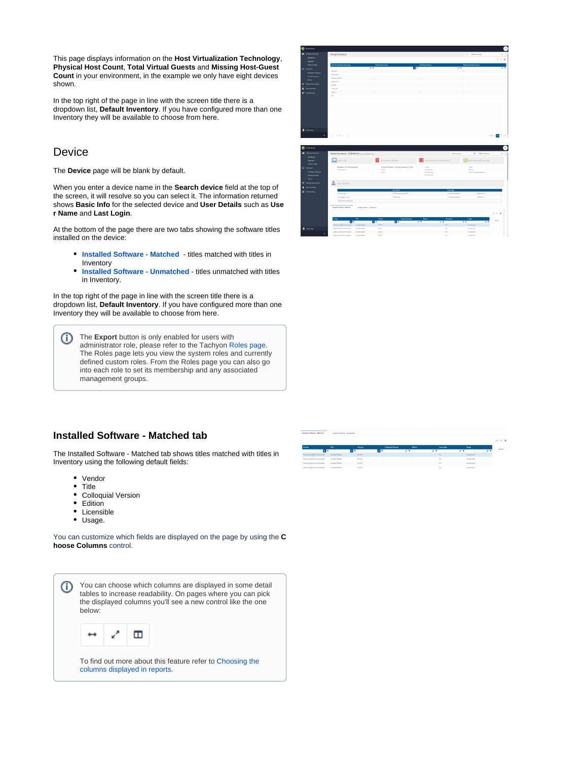This page displays information on the **Host Virtualization Technology**, **Physical Host Count**, **Total Virtual Guests** and **Missing Host-Guest Count** in your environment, in the example we only have eight devices shown.

In the top right of the page in line with the screen title there is a dropdown list, **Default Inventory**. If you have configured more than one Inventory they will be available to choose from here.

# <span id="page-1-0"></span>**Device**

The **Device** page will be blank by default.

When you enter a device name in the **Search device** field at the top of the screen, it will resolve so you can select it. The information returned shows **Basic Info** for the selected device and **User Details** such as **Use r Name** and **Last Login**.

At the bottom of the page there are two tabs showing the software titles installed on the device:

- **[Installed Software Matched](#page-1-1)** titles matched with titles in Inventory
- **[Installed Software Unmatched](#page-2-0)** titles unmatched with titles  $\bullet$ in Inventory.

In the top right of the page in line with the screen title there is a dropdown list, **Default Inventory**. If you have configured more than one Inventory they will be available to choose from here.

**The Export** button is only enabled for users with administrator role, please refer to the Tachyon [Roles page.](https://help.1e.com/display/TCN51/Roles+page) The Roles page lets you view the system roles and currently defined custom roles. From the Roles page you can also go into each role to set its membership and any associated management groups.





# <span id="page-1-1"></span>**Installed Software - Matched tab**

The Installed Software - Matched tab shows titles matched with titles in Inventory using the following default fields:

- Vendor
- Title
- $\bullet$ Colloquial Version
- $\bullet$ Edition
- $\bullet$ Licensible
- Usage.

You can customize which fields are displayed on the page by using the **C hoose Columns** control.



|                             | <b><i>CONTRACT CARD AND ARRANGEMENT CARD AND RESIDENCE.</i></b> |           |                           |                 |            |                   |
|-----------------------------|-----------------------------------------------------------------|-----------|---------------------------|-----------------|------------|-------------------|
|                             |                                                                 |           |                           |                 |            |                   |
| Vendor                      | Title                                                           | Verdon    | <b>Collogaial Version</b> | <b>Sétien</b>   | Licensible | Users             |
| <b>TT</b>                   | 157                                                             | <b>IT</b> | <b>HT</b>                 | II <sup>T</sup> | <b>HT</b>  | <b>HT</b>         |
| Added Systems Incorporated  | Acrobat Reader                                                  | 9,54.0    |                           |                 | No         | Unreported        |
| Adobe Systems Incorporated  | Acrobat Reader                                                  | 5340      |                           |                 | No         | <b>Unreported</b> |
| Adulte Systems Insurancemed | Anglan Reader                                                   | \$2.63    |                           |                 | No         | Unreasonal        |
| Addis Systems Incorporated  | Acrobat Reader                                                  | \$24.0    |                           |                 | No         | Unrecorted        |